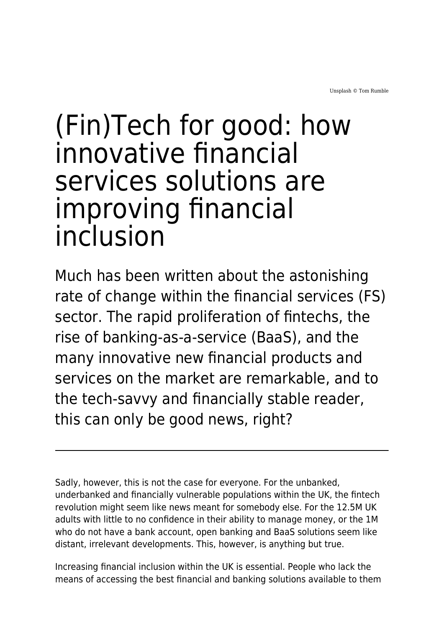# (Fin)Tech for good: how innovative financial services solutions are improving financial inclusion

Much has been written about the astonishing rate of change within the financial services (FS) sector. The rapid proliferation of fintechs, the rise of banking-as-a-service (BaaS), and the many innovative new financial products and services on the market are remarkable, and to the tech-savvy and financially stable reader, this can only be good news, right?

Sadly, however, this is not the case for everyone. For the unbanked, underbanked and financially vulnerable populations within the UK, the fintech revolution might seem like news meant for somebody else. For the 12.5M UK adults with little to no confidence in their ability to manage money, or the 1M who do not have a bank account, open banking and BaaS solutions seem like distant, irrelevant developments. This, however, is anything but true.

Increasing financial inclusion within the UK is essential. People who lack the means of accessing the best financial and banking solutions available to them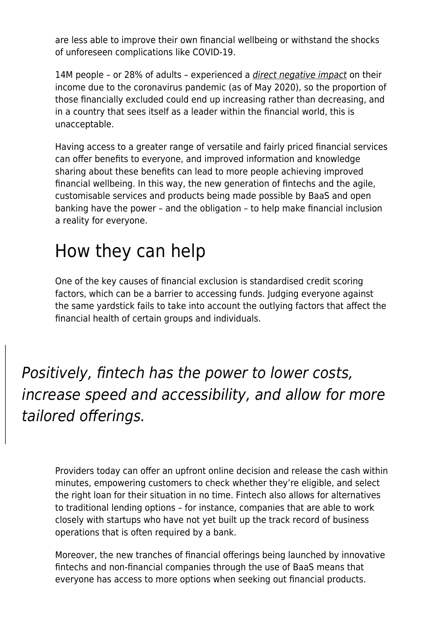are less able to improve their own financial wellbeing or withstand the shocks of unforeseen complications like COVID-19.

14M people - or 28% of adults - experienced a *[direct negative impact](https://financialinclusioncommission.org.uk/)* on their income due to the coronavirus pandemic (as of May 2020), so the proportion of those financially excluded could end up increasing rather than decreasing, and in a country that sees itself as a leader within the financial world, this is unacceptable.

Having access to a greater range of versatile and fairly priced financial services can offer benefits to everyone, and improved information and knowledge sharing about these benefits can lead to more people achieving improved financial wellbeing. In this way, the new generation of fintechs and the agile, customisable services and products being made possible by BaaS and open banking have the power – and the obligation – to help make financial inclusion a reality for everyone.

## How they can help

One of the key causes of financial exclusion is standardised credit scoring factors, which can be a barrier to accessing funds. Judging everyone against the same yardstick fails to take into account the outlying factors that affect the financial health of certain groups and individuals.

Positively, fintech has the power to lower costs, increase speed and accessibility, and allow for more tailored offerings.

Providers today can offer an upfront online decision and release the cash within minutes, empowering customers to check whether they're eligible, and select the right loan for their situation in no time. Fintech also allows for alternatives to traditional lending options – for instance, companies that are able to work closely with startups who have not yet built up the track record of business operations that is often required by a bank.

Moreover, the new tranches of financial offerings being launched by innovative fintechs and non-financial companies through the use of BaaS means that everyone has access to more options when seeking out financial products.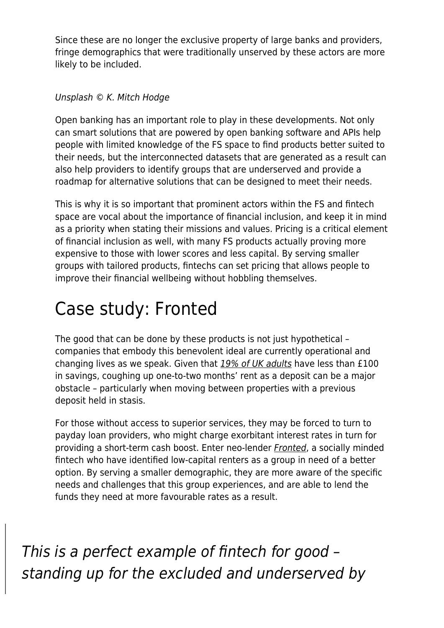Since these are no longer the exclusive property of large banks and providers, fringe demographics that were traditionally unserved by these actors are more likely to be included.

#### Unsplash © K. Mitch Hodge

Open banking has an important role to play in these developments. Not only can smart solutions that are powered by open banking software and APIs help people with limited knowledge of the FS space to find products better suited to their needs, but the interconnected datasets that are generated as a result can also help providers to identify groups that are underserved and provide a roadmap for alternative solutions that can be designed to meet their needs.

This is why it is so important that prominent actors within the FS and fintech space are vocal about the importance of financial inclusion, and keep it in mind as a priority when stating their missions and values. Pricing is a critical element of financial inclusion as well, with many FS products actually proving more expensive to those with lower scores and less capital. By serving smaller groups with tailored products, fintechs can set pricing that allows people to improve their financial wellbeing without hobbling themselves.

# Case study: Fronted

The good that can be done by these products is not just hypothetical – companies that embody this benevolent ideal are currently operational and changing lives as we speak. Given that [19% of UK adults](https://www.ybs.co.uk/media-centre/savings-crisis/index.html) have less than £100 in savings, coughing up one-to-two months' rent as a deposit can be a major obstacle – particularly when moving between properties with a previous deposit held in stasis.

For those without access to superior services, they may be forced to turn to payday loan providers, who might charge exorbitant interest rates in turn for providing a short-term cash boost. Enter neo-lender [Fronted](https://www.maddyness.com/uk/2021/02/19/fronted-launches-uk-first-rent-deposit-loan-product/), a socially minded fintech who have identified low-capital renters as a group in need of a better option. By serving a smaller demographic, they are more aware of the specific needs and challenges that this group experiences, and are able to lend the funds they need at more favourable rates as a result.

This is a perfect example of fintech for good – standing up for the excluded and underserved by